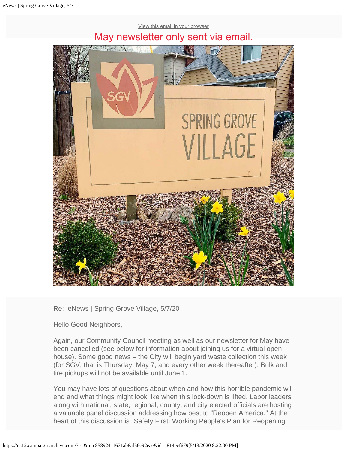# [View this email in your browser](https://us12.campaign-archive.com/?e=[UNIQID]&u=c858924a1671ab8af56c92eae&id=a814ecf679) May newsletter only sent via email.



Re: eNews | Spring Grove Village, 5/7/20

Hello Good Neighbors,

Again, our Community Council meeting as well as our newsletter for May have been cancelled (see below for information about joining us for a virtual open house). Some good news – the City will begin yard waste collection this week (for SGV, that is Thursday, May 7, and every other week thereafter). Bulk and tire pickups will not be available until June 1.

You may have lots of questions about when and how this horrible pandemic will end and what things might look like when this lock-down is lifted. Labor leaders along with national, state, regional, county, and city elected officials are hosting a valuable panel discussion addressing how best to "Reopen America." At the heart of this discussion is "Safety First: Working People's Plan for Reopening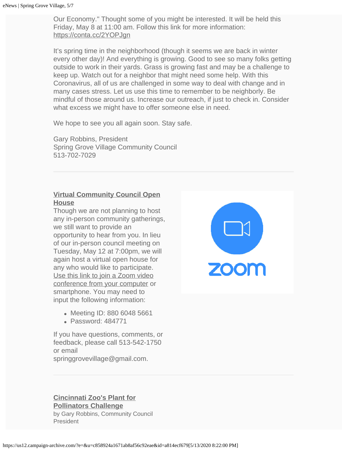Our Economy." Thought some of you might be interested. It will be held this Friday, May 8 at 11:00 am. Follow this link for more information: <https://conta.cc/2YOPJgn>

It's spring time in the neighborhood (though it seems we are back in winter every other day)! And everything is growing. Good to see so many folks getting outside to work in their yards. Grass is growing fast and may be a challenge to keep up. Watch out for a neighbor that might need some help. With this Coronavirus, all of us are challenged in some way to deal with change and in many cases stress. Let us use this time to remember to be neighborly. Be mindful of those around us. Increase our outreach, if just to check in. Consider what excess we might have to offer someone else in need.

We hope to see you all again soon. Stay safe.

Gary Robbins, President Spring Grove Village Community Council 513-702-7029

# **Virtual Community Council Open House**

Though we are not planning to host any in-person community gatherings, we still want to provide an opportunity to hear from you. In lieu of our in-person council meeting on Tuesday, May 12 at 7:00pm, we will again host a virtual open house for any who would like to participate. [Use this link to join a Zoom video](https://us02web.zoom.us/j/88060485661?pwd=NE9rYzRtM0RhZjU1ZjZLN3RERDJ3Zz09) [conference from your computer](https://us02web.zoom.us/j/88060485661?pwd=NE9rYzRtM0RhZjU1ZjZLN3RERDJ3Zz09) or smartphone. You may need to input the following information:

- Meeting ID: 880 6048 5661
- Password: 484771

If you have questions, comments, or feedback, please call 513-542-1750 or email springgrovevillage@gmail.com.



## **Cincinnati Zoo's Plant for Pollinators Challenge** by Gary Robbins, Community Council President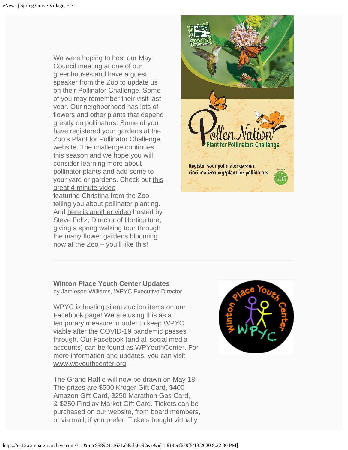We were hoping to host our May Council meeting at one of our greenhouses and have a guest speaker from the Zoo to update us on their Pollinator Challenge. Some of you may remember their visit last year. Our neighborhood has lots of flowers and other plants that depend greatly on pollinators. Some of you have registered your gardens at the Zoo's [Plant for Pollinator Challenge](http://cincinnatizoo.org/horticulture/plant-for-pollinators/) [website.](http://cincinnatizoo.org/horticulture/plant-for-pollinators/) The challenge continues this season and we hope you will consider learning more about pollinator plants and add some to your yard or gardens. Check out [this](https://youtu.be/cIvol_OguiY) [great 4-minute video](https://youtu.be/cIvol_OguiY) featuring Christina from the Zoo telling you about pollinator planting. And [here is another video](https://youtu.be/2NGL1U2qqu4) hosted by Steve Foltz, Director of Horticulture, giving a spring walking tour through the many flower gardens blooming now at the Zoo – you'll like this!



### **Winton Place Youth Center Updates**

by Jamieson Williams, WPYC Executive Director

WPYC is hosting silent auction items on our Facebook page! We are using this as a temporary measure in order to keep WPYC viable after the COVID-19 pandemic passes through. Our Facebook (and all social media accounts) can be found as WPYouthCenter. For more information and updates, you can visit [www.wpyouthcenter.org](http://info@wpyouthcenter.org/).

The Grand Raffle will now be drawn on May 18. The prizes are \$500 Kroger Gift Card, \$400 Amazon Gift Card, \$250 Marathon Gas Card, & \$250 Findlay Market Gift Card. Tickets can be purchased on our website, from board members, or via mail, if you prefer. Tickets bought virtually

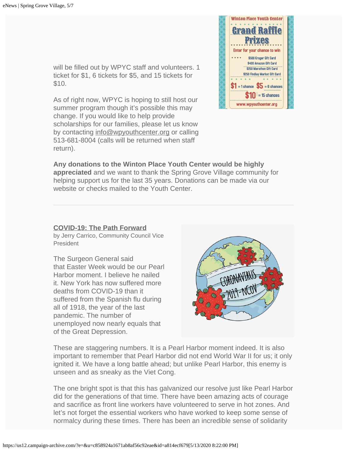will be filled out by WPYC staff and volunteers. 1 ticket for \$1, 6 tickets for \$5, and 15 tickets for \$10.

As of right now, WPYC is hoping to still host our summer program though it's possible this may change. If you would like to help provide scholarships for our families, please let us know by contacting [info@wpyouthcenter.org](mailto:info@wpyouthcenter.org) or calling 513-681-8004 (calls will be returned when staff return).



**Any donations to the Winton Place Youth Center would be highly appreciated** and we want to thank the Spring Grove Village community for helping support us for the last 35 years. Donations can be made via our website or checks mailed to the Youth Center.

### **COVID-19: The Path Forward**

by Jerry Carrico, Community Council Vice President

The Surgeon General said that Easter Week would be our Pearl Harbor moment. I believe he nailed it. New York has now suffered more deaths from COVID-19 than it suffered from the Spanish flu during all of 1918, the year of the last pandemic. The number of unemployed now nearly equals that of the Great Depression.



These are staggering numbers. It is a Pearl Harbor moment indeed. It is also important to remember that Pearl Harbor did not end World War II for us; it only ignited it. We have a long battle ahead; but unlike Pearl Harbor, this enemy is unseen and as sneaky as the Viet Cong.

The one bright spot is that this has galvanized our resolve just like Pearl Harbor did for the generations of that time. There have been amazing acts of courage and sacrifice as front line workers have volunteered to serve in hot zones. And let's not forget the essential workers who have worked to keep some sense of normalcy during these times. There has been an incredible sense of solidarity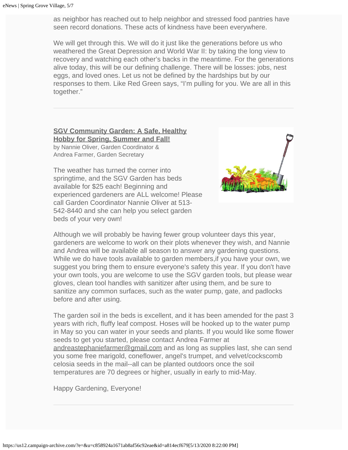as neighbor has reached out to help neighbor and stressed food pantries have seen record donations. These acts of kindness have been everywhere.

We will get through this. We will do it just like the generations before us who weathered the Great Depression and World War II: by taking the long view to recovery and watching each other's backs in the meantime. For the generations alive today, this will be our defining challenge. There will be losses: jobs, nest eggs, and loved ones. Let us not be defined by the hardships but by our responses to them. Like Red Green says, "I'm pulling for you. We are all in this together."

**SGV Community Garden: A Safe, Healthy Hobby for Spring, Summer and Fall!** by Nannie Oliver, Garden Coordinator & Andrea Farmer, Garden Secretary

The weather has turned the corner into springtime, and the SGV Garden has beds available for \$25 each! Beginning and experienced gardeners are ALL welcome! Please call Garden Coordinator Nannie Oliver at 513- 542-8440 and she can help you select garden beds of your very own!



Although we will probably be having fewer group volunteer days this year, gardeners are welcome to work on their plots whenever they wish, and Nannie and Andrea will be available all season to answer any gardening questions. While we do have tools available to garden members,if you have your own, we suggest you bring them to ensure everyone's safety this year. If you don't have your own tools, you are welcome to use the SGV garden tools, but please wear gloves, clean tool handles with sanitizer after using them, and be sure to sanitize any common surfaces, such as the water pump, gate, and padlocks before and after using.

The garden soil in the beds is excellent, and it has been amended for the past 3 years with rich, fluffy leaf compost. Hoses will be hooked up to the water pump in May so you can water in your seeds and plants. If you would like some flower seeds to get you started, please contact Andrea Farmer at [andreastephaniefarmer@gmail.com](mailto:andreastephaniefarmer@gmail.com?subject=I) and as long as supplies last, she can send you some free marigold, coneflower, angel's trumpet, and velvet/cockscomb celosia seeds in the mail--all can be planted outdoors once the soil temperatures are 70 degrees or higher, usually in early to mid-May.

Happy Gardening, Everyone!